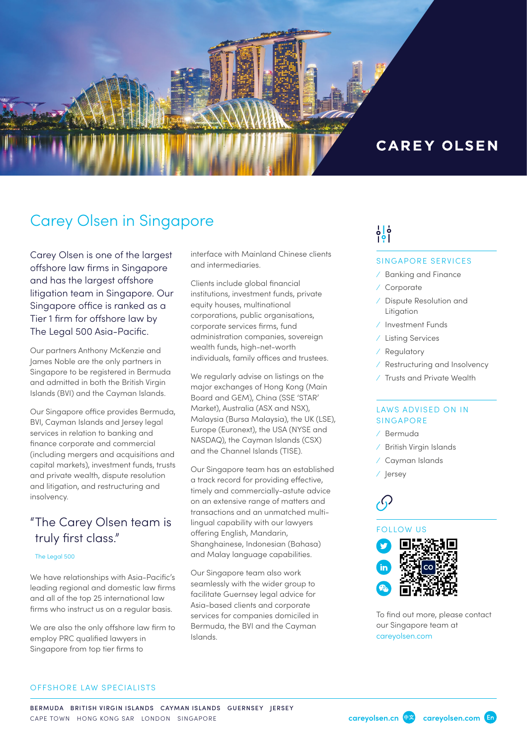

# Carey Olsen in Singapore

Carey Olsen is one of the largest offshore law firms in Singapore and has the largest offshore litigation team in Singapore. Our Singapore office is ranked as a Tier 1 firm for offshore law by The Legal 500 Asia-Pacific.

Our partners Anthony McKenzie and James Noble are the only partners in Singapore to be registered in Bermuda and admitted in both the British Virgin Islands (BVI) and the Cayman Islands.

Our Singapore office provides Bermuda, BVI, Cayman Islands and Jersey legal services in relation to banking and finance corporate and commercial (including mergers and acquisitions and capital markets), investment funds, trusts and private wealth, dispute resolution and litigation, and restructuring and insolvency.

# "The Carey Olsen team is truly first class."

#### The Legal 500

We have relationships with Asia-Pacific's leading regional and domestic law firms and all of the top 25 international law firms who instruct us on a regular basis.

We are also the only offshore law firm to employ PRC qualified lawyers in Singapore from top tier firms to

interface with Mainland Chinese clients and intermediaries.

Clients include global financial institutions, investment funds, private equity houses, multinational corporations, public organisations, corporate services firms, fund administration companies, sovereign wealth funds, high-net-worth individuals, family offices and trustees.

We regularly advise on listings on the major exchanges of Hong Kong (Main Board and GEM), China (SSE 'STAR' Market), Australia (ASX and NSX), Malaysia (Bursa Malaysia), the UK (LSE), Europe (Euronext), the USA (NYSE and NASDAQ), the Cayman Islands (CSX) and the Channel Islands (TISE).

Our Singapore team has an established a track record for providing effective, timely and commercially-astute advice on an extensive range of matters and transactions and an unmatched multilingual capability with our lawyers offering English, Mandarin, Shanghainese, Indonesian (Bahasa) and Malay language capabilities.

Our Singapore team also work seamlessly with the wider group to facilitate Guernsey legal advice for Asia-based clients and corporate services for companies domiciled in Bermuda, the BVI and the Cayman Islands.

# $\frac{1}{2}$  $\frac{1}{2}$

#### SINGAPORE SERVICES

- ⁄ Banking and Finance
- ⁄ Corporate
- ⁄ Dispute Resolution and Litigation
- ⁄ Investment Funds
- ⁄ Listing Services
- ⁄ Regulatory
- ⁄ Restructuring and Insolvency
- ⁄ Trusts and Private Wealth

#### LAWS ADVISED ON IN SINGAPORE

- ⁄ Bermuda
- ⁄ British Virgin Islands
- ⁄ Cayman Islands
- ⁄ Jersey

### FOLLOW US



To find out more, please contact our Singapore team at [careyolsen.com](https://www.careyolsen.com/search-results?https://www.careyolsen.com/search-results?combine=&field_service_sector_tid=All&field_sector_tid=All&field_location_tid=22)

#### OFFSHORE LAW SPECIALISTS